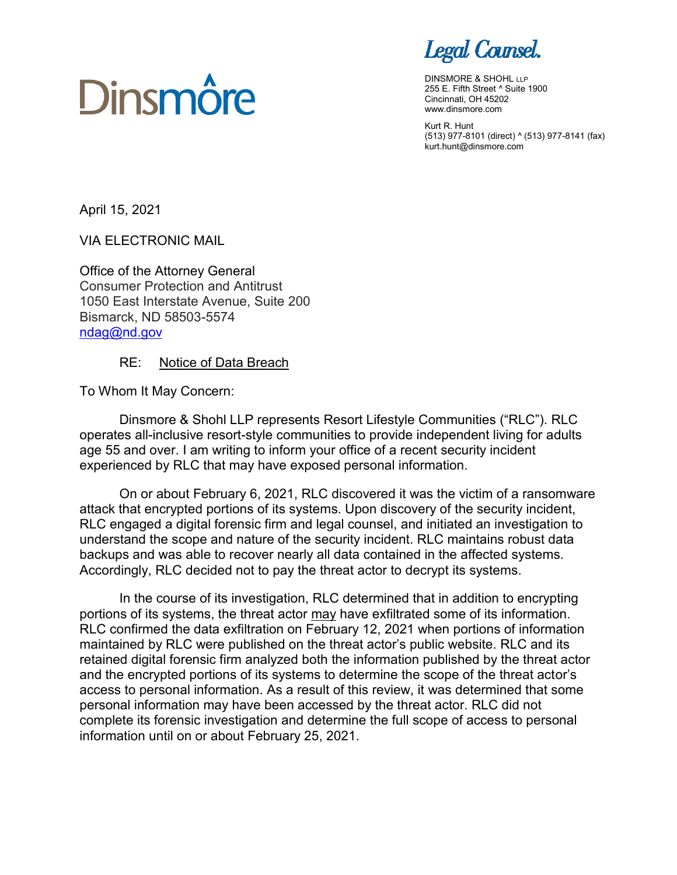# Legal Counsel.

DINSMORE & SHOHL LLP 255 E. Fifth Street ^ Suite 1900 Cincinnati, OH 45202 www.dinsmore.com

Kurt R. Hunt (513) 977-8101 (direct) ^ (513) 977-8141 (fax) kurt.hunt@dinsmore.com

April 15, 2021

VIA ELECTRONIC MAIL

**Dinsmôre** 

Office of the Attorney General Consumer Protection and Antitrust 1050 East Interstate Avenue, Suite 200 Bismarck, ND 58503-5574 [ndag@nd.gov](mailto:ndag@nd.gov)

# RE: Notice of Data Breach

To Whom It May Concern:

Dinsmore & Shohl LLP represents Resort Lifestyle Communities ("RLC"). RLC operates all-inclusive resort-style communities to provide independent living for adults age 55 and over. I am writing to inform your office of a recent security incident experienced by RLC that may have exposed personal information.

On or about February 6, 2021, RLC discovered it was the victim of a ransomware attack that encrypted portions of its systems. Upon discovery of the security incident, RLC engaged a digital forensic firm and legal counsel, and initiated an investigation to understand the scope and nature of the security incident. RLC maintains robust data backups and was able to recover nearly all data contained in the affected systems. Accordingly, RLC decided not to pay the threat actor to decrypt its systems.

In the course of its investigation, RLC determined that in addition to encrypting portions of its systems, the threat actor may have exfiltrated some of its information. RLC confirmed the data exfiltration on February 12, 2021 when portions of information maintained by RLC were published on the threat actor's public website. RLC and its retained digital forensic firm analyzed both the information published by the threat actor and the encrypted portions of its systems to determine the scope of the threat actor's access to personal information. As a result of this review, it was determined that some personal information may have been accessed by the threat actor. RLC did not complete its forensic investigation and determine the full scope of access to personal information until on or about February 25, 2021.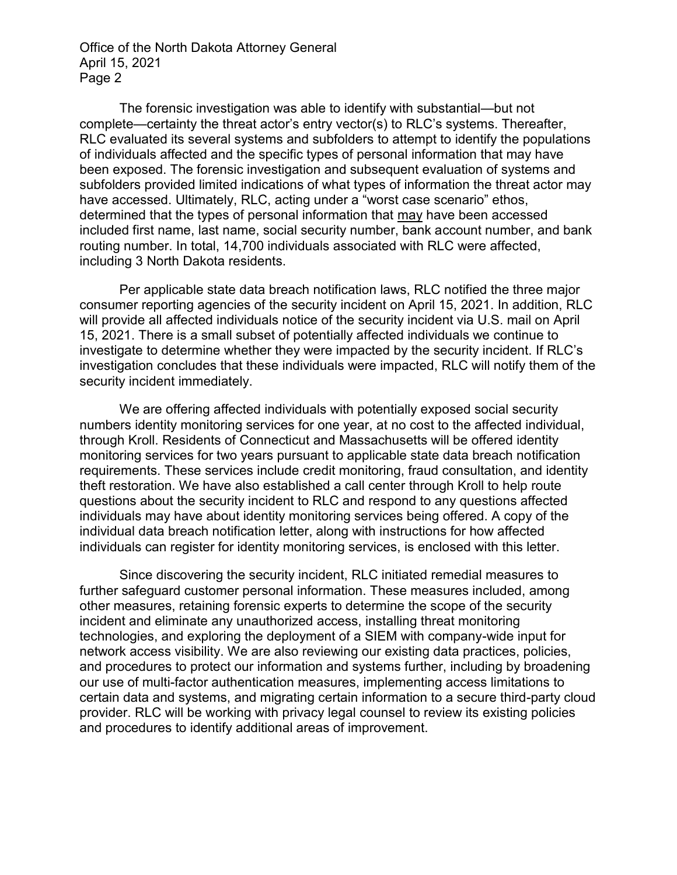Office of the North Dakota Attorney General April 15, 2021 Page 2

The forensic investigation was able to identify with substantial—but not complete—certainty the threat actor's entry vector(s) to RLC's systems. Thereafter, RLC evaluated its several systems and subfolders to attempt to identify the populations of individuals affected and the specific types of personal information that may have been exposed. The forensic investigation and subsequent evaluation of systems and subfolders provided limited indications of what types of information the threat actor may have accessed. Ultimately, RLC, acting under a "worst case scenario" ethos, determined that the types of personal information that may have been accessed included first name, last name, social security number, bank account number, and bank routing number. In total, 14,700 individuals associated with RLC were affected, including 3 North Dakota residents.

Per applicable state data breach notification laws, RLC notified the three major consumer reporting agencies of the security incident on April 15, 2021. In addition, RLC will provide all affected individuals notice of the security incident via U.S. mail on April 15, 2021. There is a small subset of potentially affected individuals we continue to investigate to determine whether they were impacted by the security incident. If RLC's investigation concludes that these individuals were impacted, RLC will notify them of the security incident immediately.

We are offering affected individuals with potentially exposed social security numbers identity monitoring services for one year, at no cost to the affected individual, through Kroll. Residents of Connecticut and Massachusetts will be offered identity monitoring services for two years pursuant to applicable state data breach notification requirements. These services include credit monitoring, fraud consultation, and identity theft restoration. We have also established a call center through Kroll to help route questions about the security incident to RLC and respond to any questions affected individuals may have about identity monitoring services being offered. A copy of the individual data breach notification letter, along with instructions for how affected individuals can register for identity monitoring services, is enclosed with this letter.

Since discovering the security incident, RLC initiated remedial measures to further safeguard customer personal information. These measures included, among other measures, retaining forensic experts to determine the scope of the security incident and eliminate any unauthorized access, installing threat monitoring technologies, and exploring the deployment of a SIEM with company-wide input for network access visibility. We are also reviewing our existing data practices, policies, and procedures to protect our information and systems further, including by broadening our use of multi-factor authentication measures, implementing access limitations to certain data and systems, and migrating certain information to a secure third-party cloud provider. RLC will be working with privacy legal counsel to review its existing policies and procedures to identify additional areas of improvement.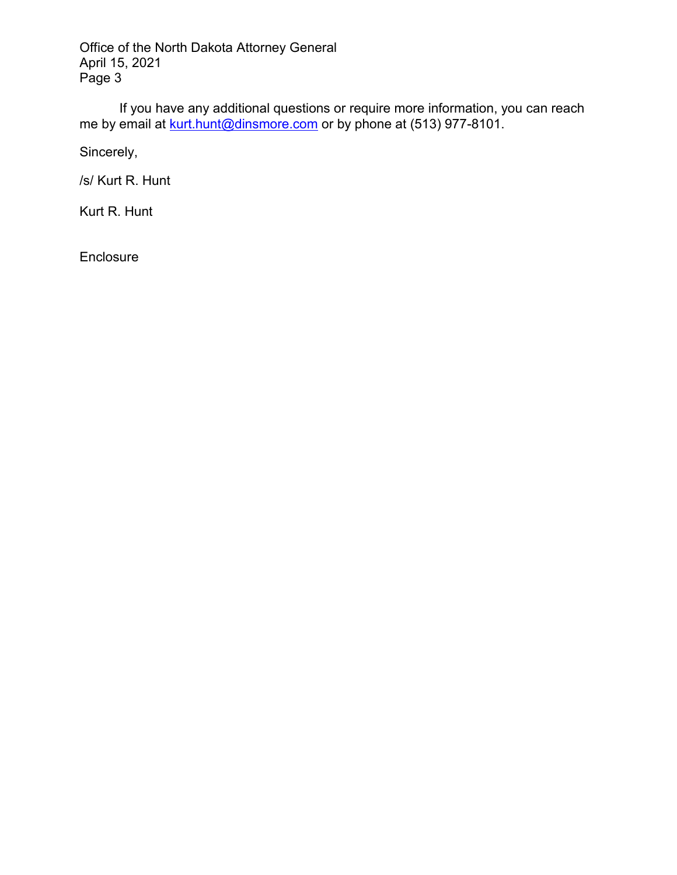Office of the North Dakota Attorney General April 15, 2021 Page 3

If you have any additional questions or require more information, you can reach me by email at <u>kurt.hunt@dinsmore.com</u> or by phone at (513) 977-8101.

Sincerely,

/s/ Kurt R. Hunt

Kurt R. Hunt

Enclosure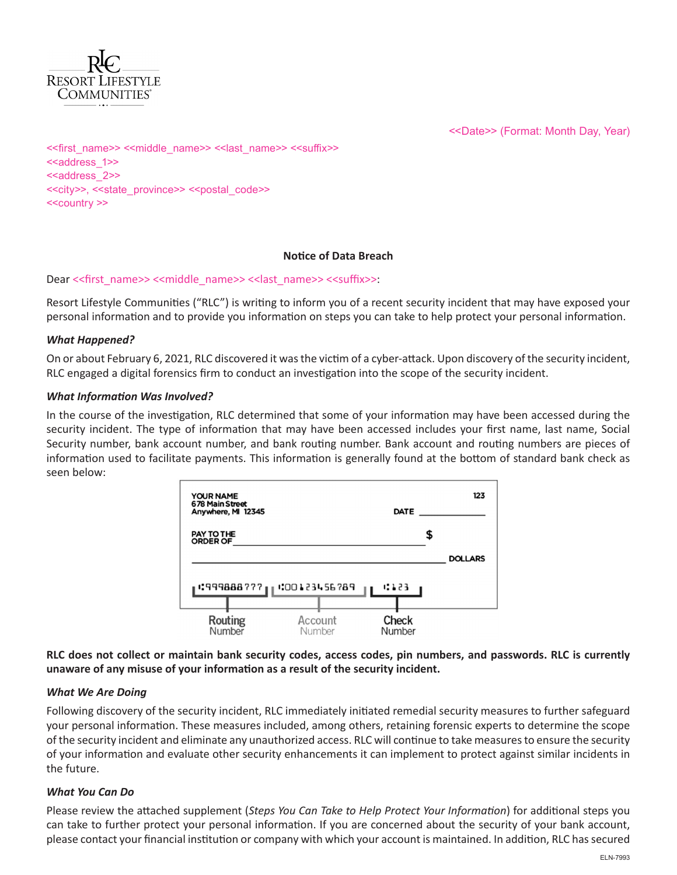

<<Date>> (Format: Month Day, Year)

<<first\_name>> <<middle\_name>> <<last\_name>> <<suffix>> <<address\_1>> <<address\_2>> <<city>>, <<state\_province>> <<postal\_code>> <<country >>

#### **Notice of Data Breach**

#### Dear <<first\_name>> <<middle\_name>> <<last\_name>> <<suffix>>:

Resort Lifestyle Communities ("RLC") is writing to inform you of a recent security incident that may have exposed your personal information and to provide you information on steps you can take to help protect your personal information.

#### *What Happened?*

On or about February 6, 2021, RLC discovered it was the victim of a cyber-attack. Upon discovery of the security incident, RLC engaged a digital forensics firm to conduct an investigation into the scope of the security incident.

#### *What Information Was Involved?*

In the course of the investigation, RLC determined that some of your information may have been accessed during the security incident. The type of information that may have been accessed includes your first name, last name, Social Security number, bank account number, and bank routing number. Bank account and routing numbers are pieces of information used to facilitate payments. This information is generally found at the bottom of standard bank check as seen below:



**RLC does not collect or maintain bank security codes, access codes, pin numbers, and passwords. RLC is currently unaware of any misuse of your information as a result of the security incident.**

#### *What We Are Doing*

Following discovery of the security incident, RLC immediately initiated remedial security measures to further safeguard your personal information. These measures included, among others, retaining forensic experts to determine the scope of the security incident and eliminate any unauthorized access. RLC will continue to take measures to ensure the security of your information and evaluate other security enhancements it can implement to protect against similar incidents in the future.

# *What You Can Do*

Please review the attached supplement (*Steps You Can Take to Help Protect Your Information*) for additional steps you can take to further protect your personal information. If you are concerned about the security of your bank account, please contact your financial institution or company with which your account is maintained. In addition, RLC has secured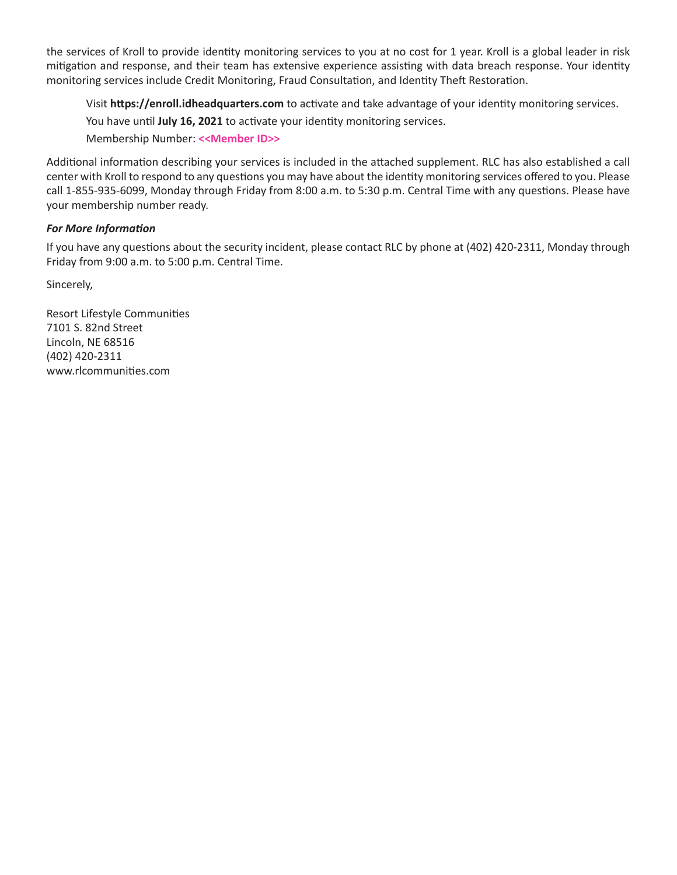the services of Kroll to provide identity monitoring services to you at no cost for 1 year. Kroll is a global leader in risk mitigation and response, and their team has extensive experience assisting with data breach response. Your identity monitoring services include Credit Monitoring, Fraud Consultation, and Identity Theft Restoration.

Visit **https://enroll.idheadquarters.com** to activate and take advantage of your identity monitoring services. You have until **July 16, 2021** to activate your identity monitoring services. Membership Number: **<<Member ID>>**

Additional information describing your services is included in the attached supplement. RLC has also established a call center with Kroll to respond to any questions you may have about the identity monitoring services offered to you. Please call 1-855-935-6099, Monday through Friday from 8:00 a.m. to 5:30 p.m. Central Time with any questions. Please have your membership number ready.

# *For More Information*

If you have any questions about the security incident, please contact RLC by phone at (402) 420-2311, Monday through Friday from 9:00 a.m. to 5:00 p.m. Central Time.

Sincerely,

Resort Lifestyle Communities 7101 S. 82nd Street Lincoln, NE 68516 (402) 420-2311 www.rlcommunities.com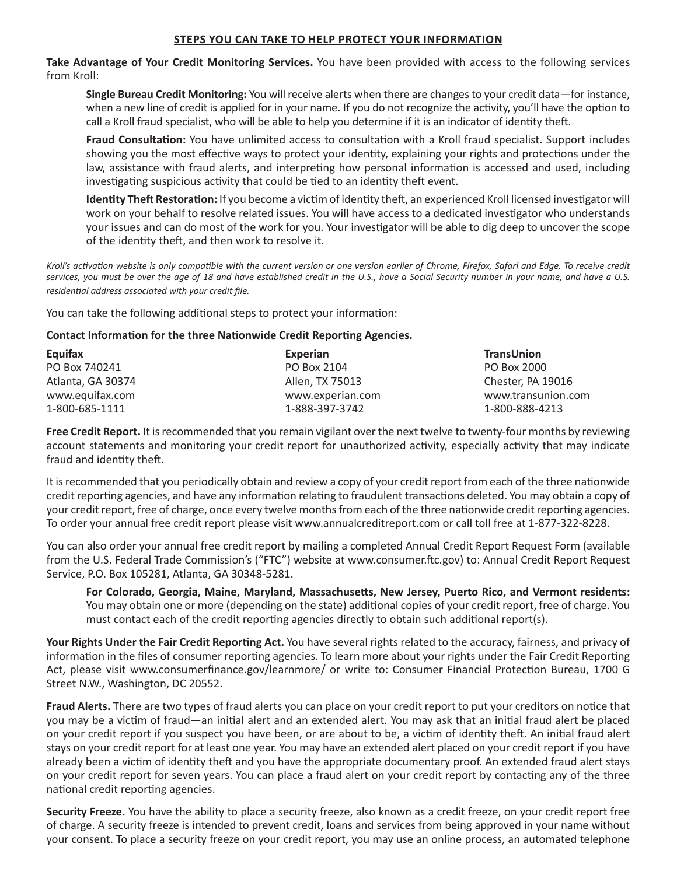# **STEPS YOU CAN TAKE TO HELP PROTECT YOUR INFORMATION**

**Take Advantage of Your Credit Monitoring Services.** You have been provided with access to the following services from Kroll:

**Single Bureau Credit Monitoring:** You will receive alerts when there are changes to your credit data—for instance, when a new line of credit is applied for in your name. If you do not recognize the activity, you'll have the option to call a Kroll fraud specialist, who will be able to help you determine if it is an indicator of identity theft.

**Fraud Consultation:** You have unlimited access to consultation with a Kroll fraud specialist. Support includes showing you the most effective ways to protect your identity, explaining your rights and protections under the law, assistance with fraud alerts, and interpreting how personal information is accessed and used, including investigating suspicious activity that could be tied to an identity theft event.

**Identity Theft Restoration:** If you become a victim of identity theft, an experienced Kroll licensed investigator will work on your behalf to resolve related issues. You will have access to a dedicated investigator who understands your issues and can do most of the work for you. Your investigator will be able to dig deep to uncover the scope of the identity theft, and then work to resolve it.

*Kroll's activation website is only compatible with the current version or one version earlier of Chrome, Firefox, Safari and Edge. To receive credit services, you must be over the age of 18 and have established credit in the U.S., have a Social Security number in your name, and have a U.S. residential address associated with your credit file.*

You can take the following additional steps to protect your information:

# **Contact Information for the three Nationwide Credit Reporting Agencies.**

| Equifax           | Experian         | <b>TransUnion</b>  |
|-------------------|------------------|--------------------|
| PO Box 740241     | PO Box 2104      | PO Box 2000        |
| Atlanta, GA 30374 | Allen, TX 75013  | Chester, PA 19016  |
| www.equifax.com   | www.experian.com | www.transunion.com |
| 1-800-685-1111    | 1-888-397-3742   | 1-800-888-4213     |

**Free Credit Report.** It is recommended that you remain vigilant over the next twelve to twenty-four months by reviewing account statements and monitoring your credit report for unauthorized activity, especially activity that may indicate fraud and identity theft.

It is recommended that you periodically obtain and review a copy of your credit report from each of the three nationwide credit reporting agencies, and have any information relating to fraudulent transactions deleted. You may obtain a copy of your credit report, free of charge, once every twelve months from each of the three nationwide credit reporting agencies. To order your annual free credit report please visit www.annualcreditreport.com or call toll free at 1-877-322-8228.

You can also order your annual free credit report by mailing a completed Annual Credit Report Request Form (available from the U.S. Federal Trade Commission's ("FTC") website at www.consumer.ftc.gov) to: Annual Credit Report Request Service, P.O. Box 105281, Atlanta, GA 30348-5281.

**For Colorado, Georgia, Maine, Maryland, Massachusetts, New Jersey, Puerto Rico, and Vermont residents:** You may obtain one or more (depending on the state) additional copies of your credit report, free of charge. You must contact each of the credit reporting agencies directly to obtain such additional report(s).

**Your Rights Under the Fair Credit Reporting Act.** You have several rights related to the accuracy, fairness, and privacy of information in the files of consumer reporting agencies. To learn more about your rights under the Fair Credit Reporting Act, please visit www.consumerfinance.gov/learnmore/ or write to: Consumer Financial Protection Bureau, 1700 G Street N.W., Washington, DC 20552.

**Fraud Alerts.** There are two types of fraud alerts you can place on your credit report to put your creditors on notice that you may be a victim of fraud—an initial alert and an extended alert. You may ask that an initial fraud alert be placed on your credit report if you suspect you have been, or are about to be, a victim of identity theft. An initial fraud alert stays on your credit report for at least one year. You may have an extended alert placed on your credit report if you have already been a victim of identity theft and you have the appropriate documentary proof. An extended fraud alert stays on your credit report for seven years. You can place a fraud alert on your credit report by contacting any of the three national credit reporting agencies.

**Security Freeze.** You have the ability to place a security freeze, also known as a credit freeze, on your credit report free of charge. A security freeze is intended to prevent credit, loans and services from being approved in your name without your consent. To place a security freeze on your credit report, you may use an online process, an automated telephone